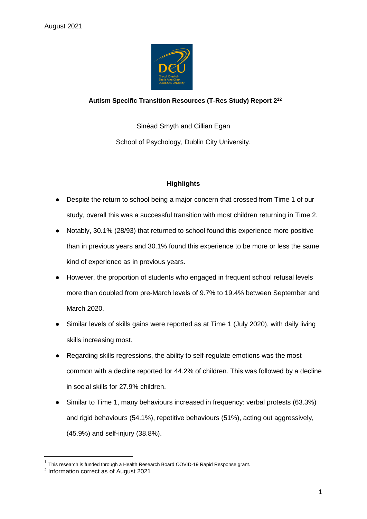

# **Autism Specific Transition Resources (T-Res Study) Report 2<sup>12</sup>**

Sinéad Smyth and Cillian Egan School of Psychology, Dublin City University.

# **Highlights**

- Despite the return to school being a major concern that crossed from Time 1 of our study, overall this was a successful transition with most children returning in Time 2.
- Notably, 30.1% (28/93) that returned to school found this experience more positive than in previous years and 30.1% found this experience to be more or less the same kind of experience as in previous years.
- However, the proportion of students who engaged in frequent school refusal levels more than doubled from pre-March levels of 9.7% to 19.4% between September and March 2020.
- Similar levels of skills gains were reported as at Time 1 (July 2020), with daily living skills increasing most.
- Regarding skills regressions, the ability to self-regulate emotions was the most common with a decline reported for 44.2% of children. This was followed by a decline in social skills for 27.9% children.
- Similar to Time 1, many behaviours increased in frequency: verbal protests (63.3%) and rigid behaviours (54.1%), repetitive behaviours (51%), acting out aggressively, (45.9%) and self-injury (38.8%).

-

<sup>&</sup>lt;sup>1</sup> This research is funded through a Health Research Board COVID-19 Rapid Response grant.

<sup>2</sup> Information correct as of August 2021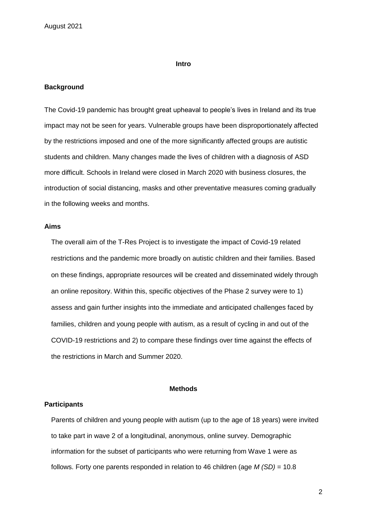#### **Intro**

#### **Background**

The Covid-19 pandemic has brought great upheaval to people's lives in Ireland and its true impact may not be seen for years. Vulnerable groups have been disproportionately affected by the restrictions imposed and one of the more significantly affected groups are autistic students and children. Many changes made the lives of children with a diagnosis of ASD more difficult. Schools in Ireland were closed in March 2020 with business closures, the introduction of social distancing, masks and other preventative measures coming gradually in the following weeks and months.

## **Aims**

The overall aim of the T-Res Project is to investigate the impact of Covid-19 related restrictions and the pandemic more broadly on autistic children and their families. Based on these findings, appropriate resources will be created and disseminated widely through an online repository. Within this, specific objectives of the Phase 2 survey were to 1) assess and gain further insights into the immediate and anticipated challenges faced by families, children and young people with autism, as a result of cycling in and out of the COVID-19 restrictions and 2) to compare these findings over time against the effects of the restrictions in March and Summer 2020.

## **Methods**

## **Participants**

Parents of children and young people with autism (up to the age of 18 years) were invited to take part in wave 2 of a longitudinal, anonymous, online survey. Demographic information for the subset of participants who were returning from Wave 1 were as follows. Forty one parents responded in relation to 46 children (age *M (SD)* = 10.8

2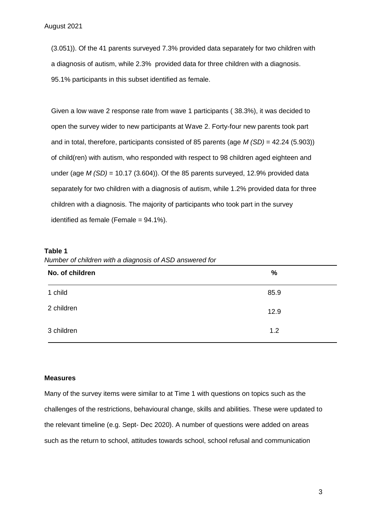(3.051)). Of the 41 parents surveyed 7.3% provided data separately for two children with a diagnosis of autism, while 2.3% provided data for three children with a diagnosis. 95.1% participants in this subset identified as female.

Given a low wave 2 response rate from wave 1 participants ( 38.3%), it was decided to open the survey wider to new participants at Wave 2. Forty-four new parents took part and in total, therefore, participants consisted of 85 parents (age *M (SD)* = 42.24 (5.903)) of child(ren) with autism, who responded with respect to 98 children aged eighteen and under (age  $M(SD) = 10.17$  (3.604)). Of the 85 parents surveyed, 12.9% provided data separately for two children with a diagnosis of autism, while 1.2% provided data for three children with a diagnosis. The majority of participants who took part in the survey identified as female (Female  $= 94.1\%$ ).

#### **Table 1**

*Number of children with a diagnosis of ASD answered for*

| No. of children | $\frac{9}{6}$ |
|-----------------|---------------|
| 1 child         | 85.9          |
| 2 children      | 12.9          |
| 3 children      | 1.2           |

#### **Measures**

Many of the survey items were similar to at Time 1 with questions on topics such as the challenges of the restrictions, behavioural change, skills and abilities. These were updated to the relevant timeline (e.g. Sept- Dec 2020). A number of questions were added on areas such as the return to school, attitudes towards school, school refusal and communication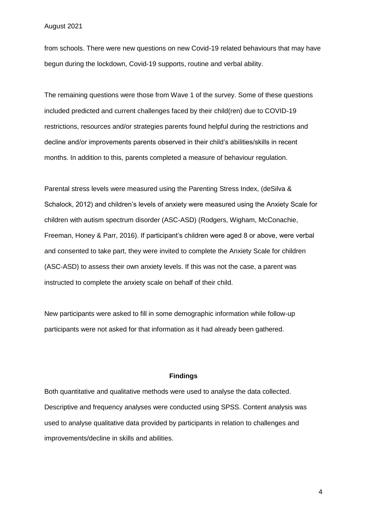from schools. There were new questions on new Covid-19 related behaviours that may have begun during the lockdown, Covid-19 supports, routine and verbal ability.

The remaining questions were those from Wave 1 of the survey. Some of these questions included predicted and current challenges faced by their child(ren) due to COVID-19 restrictions, resources and/or strategies parents found helpful during the restrictions and decline and/or improvements parents observed in their child's abilities/skills in recent months. In addition to this, parents completed a measure of behaviour regulation.

Parental stress levels were measured using the Parenting Stress Index, (deSilva & Schalock, 2012) and children's levels of anxiety were measured using the Anxiety Scale for children with autism spectrum disorder (ASC-ASD) (Rodgers, Wigham, McConachie, Freeman, Honey & Parr, 2016). If participant's children were aged 8 or above, were verbal and consented to take part, they were invited to complete the Anxiety Scale for children (ASC-ASD) to assess their own anxiety levels. If this was not the case, a parent was instructed to complete the anxiety scale on behalf of their child.

New participants were asked to fill in some demographic information while follow-up participants were not asked for that information as it had already been gathered.

#### **Findings**

Both quantitative and qualitative methods were used to analyse the data collected. Descriptive and frequency analyses were conducted using SPSS. Content analysis was used to analyse qualitative data provided by participants in relation to challenges and improvements/decline in skills and abilities.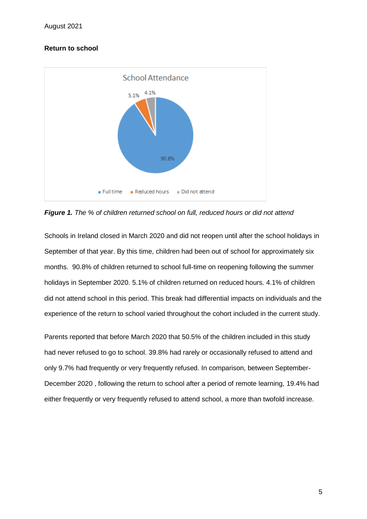# **Return to school**



*Figure 1. The % of children returned school on full, reduced hours or did not attend*

Schools in Ireland closed in March 2020 and did not reopen until after the school holidays in September of that year. By this time, children had been out of school for approximately six months. 90.8% of children returned to school full-time on reopening following the summer holidays in September 2020. 5.1% of children returned on reduced hours. 4.1% of children did not attend school in this period. This break had differential impacts on individuals and the experience of the return to school varied throughout the cohort included in the current study.

Parents reported that before March 2020 that 50.5% of the children included in this study had never refused to go to school. 39.8% had rarely or occasionally refused to attend and only 9.7% had frequently or very frequently refused. In comparison, between September-December 2020 , following the return to school after a period of remote learning, 19.4% had either frequently or very frequently refused to attend school, a more than twofold increase.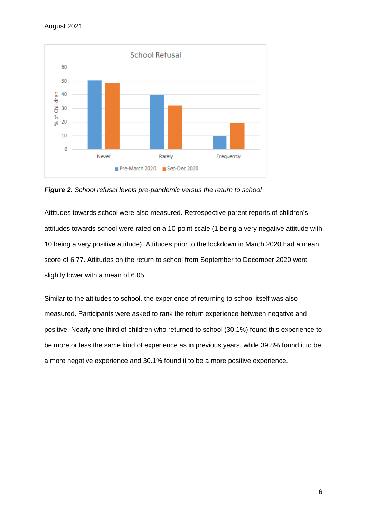

*Figure 2. School refusal levels pre-pandemic versus the return to school*

Attitudes towards school were also measured. Retrospective parent reports of children's attitudes towards school were rated on a 10-point scale (1 being a very negative attitude with 10 being a very positive attitude). Attitudes prior to the lockdown in March 2020 had a mean score of 6.77. Attitudes on the return to school from September to December 2020 were slightly lower with a mean of 6.05.

Similar to the attitudes to school, the experience of returning to school itself was also measured. Participants were asked to rank the return experience between negative and positive. Nearly one third of children who returned to school (30.1%) found this experience to be more or less the same kind of experience as in previous years, while 39.8% found it to be a more negative experience and 30.1% found it to be a more positive experience.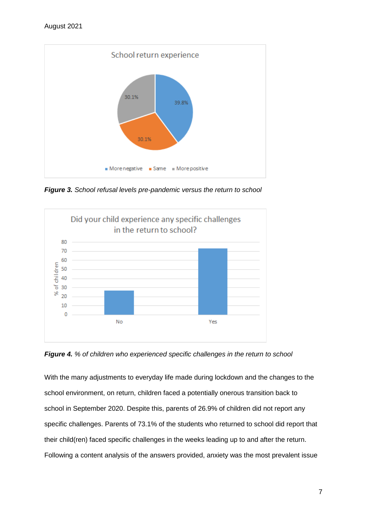

*Figure 3. School refusal levels pre-pandemic versus the return to school*



*Figure 4. % of children who experienced specific challenges in the return to school* 

With the many adjustments to everyday life made during lockdown and the changes to the school environment, on return, children faced a potentially onerous transition back to school in September 2020. Despite this, parents of 26.9% of children did not report any specific challenges. Parents of 73.1% of the students who returned to school did report that their child(ren) faced specific challenges in the weeks leading up to and after the return. Following a content analysis of the answers provided, anxiety was the most prevalent issue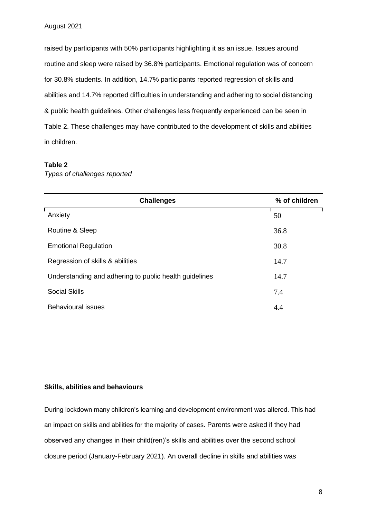raised by participants with 50% participants highlighting it as an issue. Issues around routine and sleep were raised by 36.8% participants. Emotional regulation was of concern for 30.8% students. In addition, 14.7% participants reported regression of skills and abilities and 14.7% reported difficulties in understanding and adhering to social distancing & public health guidelines. Other challenges less frequently experienced can be seen in Table 2. These challenges may have contributed to the development of skills and abilities in children.

## **Table 2**

*Types of challenges reported*

| <b>Challenges</b>                                      | % of children |
|--------------------------------------------------------|---------------|
| Anxiety                                                | 50            |
| Routine & Sleep                                        | 36.8          |
| <b>Emotional Regulation</b>                            | 30.8          |
| Regression of skills & abilities                       | 14.7          |
| Understanding and adhering to public health guidelines | 14.7          |
| <b>Social Skills</b>                                   | 7.4           |
| <b>Behavioural issues</b>                              | 4.4           |

# **Skills, abilities and behaviours**

During lockdown many children's learning and development environment was altered. This had an impact on skills and abilities for the majority of cases. Parents were asked if they had observed any changes in their child(ren)'s skills and abilities over the second school closure period (January-February 2021). An overall decline in skills and abilities was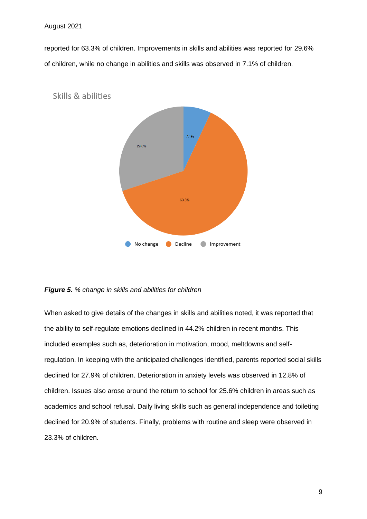reported for 63.3% of children. Improvements in skills and abilities was reported for 29.6% of children, while no change in abilities and skills was observed in 7.1% of children.



**Skills & abilities** 

## *Figure 5. % change in skills and abilities for children*

When asked to give details of the changes in skills and abilities noted, it was reported that the ability to self-regulate emotions declined in 44.2% children in recent months. This included examples such as, deterioration in motivation, mood, meltdowns and selfregulation. In keeping with the anticipated challenges identified, parents reported social skills declined for 27.9% of children. Deterioration in anxiety levels was observed in 12.8% of children. Issues also arose around the return to school for 25.6% children in areas such as academics and school refusal. Daily living skills such as general independence and toileting declined for 20.9% of students. Finally, problems with routine and sleep were observed in 23.3% of children.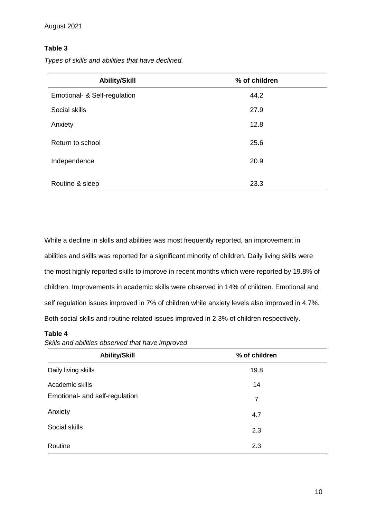# **Table 3**

| <b>Ability/Skill</b>         | % of children |
|------------------------------|---------------|
| Emotional- & Self-regulation | 44.2          |
| Social skills                | 27.9          |
| Anxiety                      | 12.8          |
| Return to school             | 25.6          |
| Independence                 | 20.9          |
| Routine & sleep              | 23.3          |

*Types of skills and abilities that have declined.* 

While a decline in skills and abilities was most frequently reported, an improvement in abilities and skills was reported for a significant minority of children. Daily living skills were the most highly reported skills to improve in recent months which were reported by 19.8% of children. Improvements in academic skills were observed in 14% of children. Emotional and self regulation issues improved in 7% of children while anxiety levels also improved in 4.7%. Both social skills and routine related issues improved in 2.3% of children respectively.

# **Table 4**

*Skills and abilities observed that have improved*

| <b>Ability/Skill</b>           | % of children |
|--------------------------------|---------------|
| Daily living skills            | 19.8          |
| Academic skills                | 14            |
| Emotional- and self-regulation | 7             |
| Anxiety                        | 4.7           |
| Social skills                  | 2.3           |
| Routine                        | 2.3           |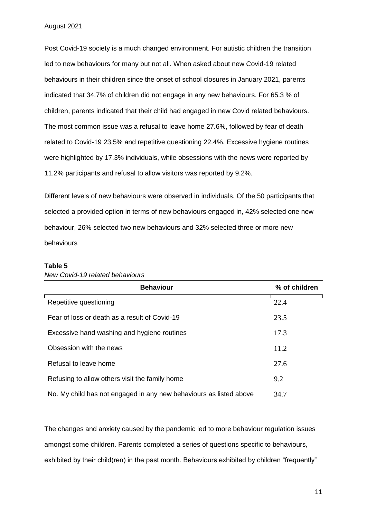Post Covid-19 society is a much changed environment. For autistic children the transition led to new behaviours for many but not all. When asked about new Covid-19 related behaviours in their children since the onset of school closures in January 2021, parents indicated that 34.7% of children did not engage in any new behaviours. For 65.3 % of children, parents indicated that their child had engaged in new Covid related behaviours. The most common issue was a refusal to leave home 27.6%, followed by fear of death related to Covid-19 23.5% and repetitive questioning 22.4%. Excessive hygiene routines were highlighted by 17.3% individuals, while obsessions with the news were reported by 11.2% participants and refusal to allow visitors was reported by 9.2%.

Different levels of new behaviours were observed in individuals. Of the 50 participants that selected a provided option in terms of new behaviours engaged in, 42% selected one new behaviour, 26% selected two new behaviours and 32% selected three or more new behaviours

#### **Table 5**

| <b>Behaviour</b>                                                   | % of children |
|--------------------------------------------------------------------|---------------|
| Repetitive questioning                                             | 22.4          |
| Fear of loss or death as a result of Covid-19                      | 23.5          |
| Excessive hand washing and hygiene routines                        | 17.3          |
| Obsession with the news                                            | 11.2          |
| Refusal to leave home                                              | 27.6          |
| Refusing to allow others visit the family home                     | 9.2           |
| No. My child has not engaged in any new behaviours as listed above | 34.7          |

*New Covid-19 related behaviours* 

The changes and anxiety caused by the pandemic led to more behaviour regulation issues amongst some children. Parents completed a series of questions specific to behaviours, exhibited by their child(ren) in the past month. Behaviours exhibited by children "frequently"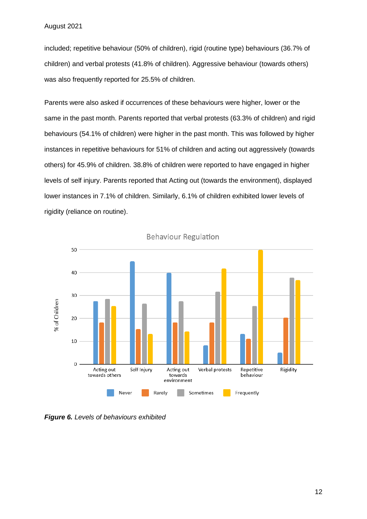included; repetitive behaviour (50% of children), rigid (routine type) behaviours (36.7% of children) and verbal protests (41.8% of children). Aggressive behaviour (towards others) was also frequently reported for 25.5% of children.

Parents were also asked if occurrences of these behaviours were higher, lower or the same in the past month. Parents reported that verbal protests (63.3% of children) and rigid behaviours (54.1% of children) were higher in the past month. This was followed by higher instances in repetitive behaviours for 51% of children and acting out aggressively (towards others) for 45.9% of children. 38.8% of children were reported to have engaged in higher levels of self injury. Parents reported that Acting out (towards the environment), displayed lower instances in 7.1% of children. Similarly, 6.1% of children exhibited lower levels of rigidity (reliance on routine).



**Behaviour Regulation** 

*Figure 6. Levels of behaviours exhibited*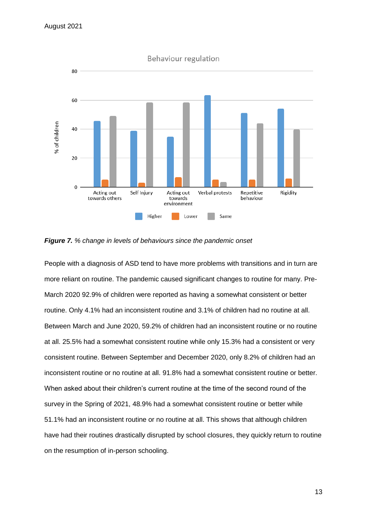

#### *Figure 7. % change in levels of behaviours since the pandemic onset*

People with a diagnosis of ASD tend to have more problems with transitions and in turn are more reliant on routine. The pandemic caused significant changes to routine for many. Pre-March 2020 92.9% of children were reported as having a somewhat consistent or better routine. Only 4.1% had an inconsistent routine and 3.1% of children had no routine at all. Between March and June 2020, 59.2% of children had an inconsistent routine or no routine at all. 25.5% had a somewhat consistent routine while only 15.3% had a consistent or very consistent routine. Between September and December 2020, only 8.2% of children had an inconsistent routine or no routine at all. 91.8% had a somewhat consistent routine or better. When asked about their children's current routine at the time of the second round of the survey in the Spring of 2021, 48.9% had a somewhat consistent routine or better while 51.1% had an inconsistent routine or no routine at all. This shows that although children have had their routines drastically disrupted by school closures, they quickly return to routine on the resumption of in-person schooling.

13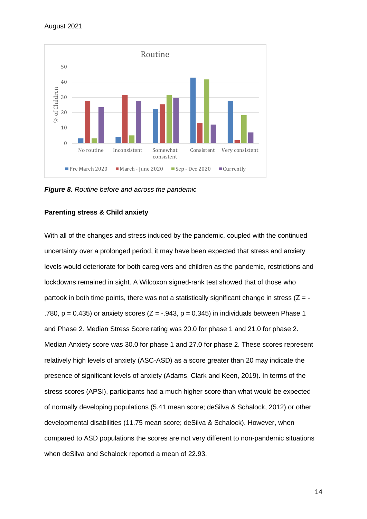

*Figure 8. Routine before and across the pandemic*

## **Parenting stress & Child anxiety**

With all of the changes and stress induced by the pandemic, coupled with the continued uncertainty over a prolonged period, it may have been expected that stress and anxiety levels would deteriorate for both caregivers and children as the pandemic, restrictions and lockdowns remained in sight. A Wilcoxon signed-rank test showed that of those who partook in both time points, there was not a statistically significant change in stress  $(Z = -$ .780,  $p = 0.435$ ) or anxiety scores ( $Z = -.943$ ,  $p = 0.345$ ) in individuals between Phase 1 and Phase 2. Median Stress Score rating was 20.0 for phase 1 and 21.0 for phase 2. Median Anxiety score was 30.0 for phase 1 and 27.0 for phase 2. These scores represent relatively high levels of anxiety (ASC-ASD) as a score greater than 20 may indicate the presence of significant levels of anxiety (Adams, Clark and Keen, 2019). In terms of the stress scores (APSI), participants had a much higher score than what would be expected of normally developing populations (5.41 mean score; deSilva & Schalock, 2012) or other developmental disabilities (11.75 mean score; deSilva & Schalock). However, when compared to ASD populations the scores are not very different to non-pandemic situations when deSilva and Schalock reported a mean of 22.93.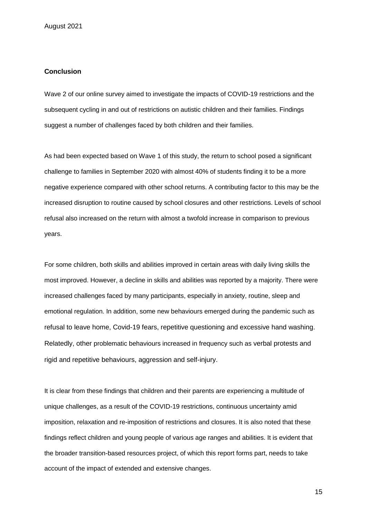## **Conclusion**

Wave 2 of our online survey aimed to investigate the impacts of COVID-19 restrictions and the subsequent cycling in and out of restrictions on autistic children and their families. Findings suggest a number of challenges faced by both children and their families.

As had been expected based on Wave 1 of this study, the return to school posed a significant challenge to families in September 2020 with almost 40% of students finding it to be a more negative experience compared with other school returns. A contributing factor to this may be the increased disruption to routine caused by school closures and other restrictions. Levels of school refusal also increased on the return with almost a twofold increase in comparison to previous years.

For some children, both skills and abilities improved in certain areas with daily living skills the most improved. However, a decline in skills and abilities was reported by a majority. There were increased challenges faced by many participants, especially in anxiety, routine, sleep and emotional regulation. In addition, some new behaviours emerged during the pandemic such as refusal to leave home, Covid-19 fears, repetitive questioning and excessive hand washing. Relatedly, other problematic behaviours increased in frequency such as verbal protests and rigid and repetitive behaviours, aggression and self-injury.

It is clear from these findings that children and their parents are experiencing a multitude of unique challenges, as a result of the COVID-19 restrictions, continuous uncertainty amid imposition, relaxation and re-imposition of restrictions and closures. It is also noted that these findings reflect children and young people of various age ranges and abilities. It is evident that the broader transition-based resources project, of which this report forms part, needs to take account of the impact of extended and extensive changes.

15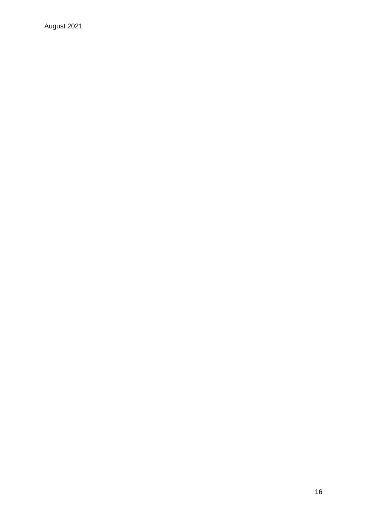August 2021